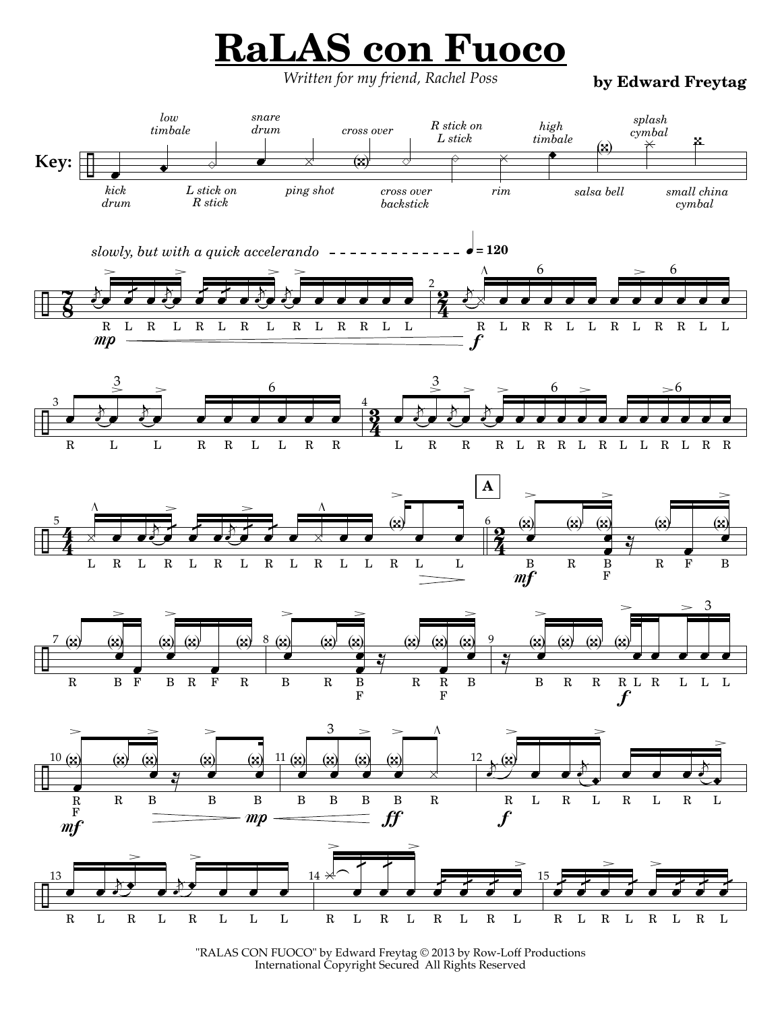## **RaLAS con Fuoco**

*Written for my friend, Rachel Poss* **by Edward Freytag**



<sup>&</sup>quot;RALAS CON FUOCO" by Edward Freytag © 2013 by Row-Loff Productions International Copyright Secured All Rights Reserved